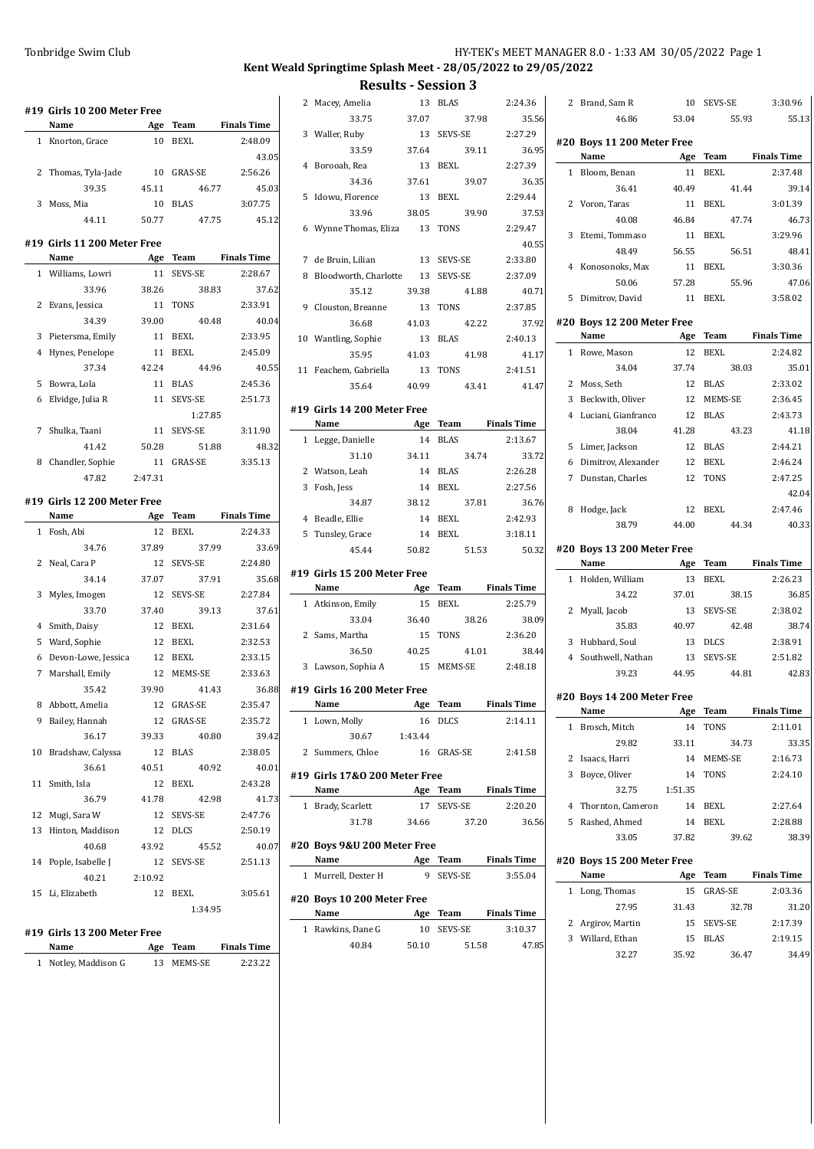### Tonbridge Swim Club **HY-TEK's MEET MANAGER 8.0 - 1:33 AM 30/05/2022** Page 1

# **Kent Weald Springtime Splash Meet - 28/05/2022 to 29/05/2022**

**Results - Session 3**<br> $\frac{13 - 81.45}{13 - 81.45}$  2.24.36

|    | #19 Girls 10 200 Meter Free<br>Name | Age     | Team                | <b>Finals Time</b>               |
|----|-------------------------------------|---------|---------------------|----------------------------------|
| 1  | Knorton, Grace                      | 10      | BEXL                | 2:48.09                          |
|    |                                     |         |                     | 43.05                            |
| 2  | Thomas, Tyla-Jade                   | 10      | GRAS-SE             | 2:56.26                          |
|    | 39.35                               | 45.11   |                     |                                  |
|    |                                     |         | 46.77               | 45.03                            |
| 3  | Moss, Mia                           | 10      | <b>BLAS</b>         | 3:07.75                          |
|    | 44.11                               | 50.77   | 47.75               | 45.12                            |
|    | #19 Girls 11 200 Meter Free         |         |                     |                                  |
|    | Name                                | Age     | Team                | <b>Finals Time</b>               |
| 1  | Williams, Lowri                     | 11      | SEVS-SE             | 2:28.67                          |
|    | 33.96                               | 38.26   | 38.83               | 37.62                            |
| 2  | Evans, Jessica                      | 11      | TONS                | 2:33.91                          |
|    | 34.39                               | 39.00   | 40.48               | 40.04                            |
| 3  | Pietersma, Emily                    | 11      | <b>BEXL</b>         | 2:33.95                          |
| 4  | Hynes, Penelope                     | 11      | <b>BEXL</b>         | 2:45.09                          |
|    | 37.34                               | 42.24   | 44.96               | 40.55                            |
| 5  | Bowra, Lola                         | 11      | <b>BLAS</b>         | 2:45.36                          |
| 6  | Elvidge, Julia R                    | 11      | SEVS-SE             | 2:51.73                          |
|    |                                     |         | 1:27.85             |                                  |
| 7  | Shulka, Taani                       | 11      | SEVS-SE             | 3:11.90                          |
|    | 41.42                               | 50.28   | 51.88               | 48.32                            |
| 8  | Chandler, Sophie                    | 11      | <b>GRAS-SE</b>      | 3:35.13                          |
|    | 47.82                               | 2:47.31 |                     |                                  |
|    |                                     |         |                     |                                  |
|    | #19 Girls 12 200 Meter Free         |         |                     |                                  |
|    | Name                                | Age     | Team                | <b>Finals Time</b>               |
| 1  | Fosh, Abi                           | 12      | <b>BEXL</b>         | 2:24.33                          |
|    |                                     |         |                     |                                  |
|    | 34.76                               | 37.89   | 37.99               | 33.69                            |
| 2  | Neal, Cara P                        | 12      | SEVS-SE             | 2:24.80                          |
|    | 34.14                               | 37.07   | 37.91               |                                  |
| 3  | Myles, Imogen                       | 12      | SEVS-SE             | 2:27.84                          |
|    | 33.70                               | 37.40   | 39.13               | 37.61                            |
| 4  | Smith, Daisy                        | 12      | <b>BEXL</b>         | 2:31.64                          |
| 5  | Ward, Sophie                        | 12      | BEXL                | 35.68<br>2:32.53                 |
| 6  | Devon-Lowe, Jessica                 | 12      | BEXL                | 2:33.15                          |
| 7  | Marshall, Emily                     | 12      | MEMS-SE             | 2:33.63                          |
|    | 35.42                               | 39.90   | 41.43               |                                  |
|    | 8 Abbott, Amelia                    |         | 12 GRAS-SE          | 2:35.47                          |
| 9  | Bailey, Hannah                      | 12      | GRAS-SE             | 2:35.72                          |
|    | 36.17                               | 39.33   | 40.80               |                                  |
| 10 | Bradshaw, Calyssa                   | 12      | <b>BLAS</b>         | 2:38.05                          |
|    | 36.61                               | 40.51   | 40.92               | 40.01                            |
| 11 | Smith, Isla                         | 12      | BEXL                | 2:43.28                          |
|    | 36.79                               | 41.78   | 42.98               |                                  |
| 12 | Mugi, Sara W                        |         | 12 SEVS-SE          | 2:47.76                          |
| 13 | Hinton, Maddison                    | 12      | <b>DLCS</b>         | 2:50.19                          |
|    | 40.68                               | 43.92   | 45.52               |                                  |
| 14 | Pople, Isabelle J                   | 12      | SEVS-SE             | 2:51.13                          |
|    | 40.21                               | 2:10.92 |                     |                                  |
| 15 | Li, Elizabeth                       | 12      | BEXL                | 3:05.61                          |
|    |                                     |         | 1:34.95             |                                  |
|    |                                     |         |                     |                                  |
|    | #19 Girls 13 200 Meter Free         |         |                     | 36.88<br>39.42<br>41.73<br>40.07 |
| 1  | Name<br>Notley, Maddison G          | 13      | Age Team<br>MEMS-SE | <b>Finals Time</b><br>2:23.22    |

|   | 2 Macey, Amelia                             | 13         | <b>BLAS</b>         | 2:24.36              |
|---|---------------------------------------------|------------|---------------------|----------------------|
|   | 33.75                                       | 37.07      | 37.98               | 35.56                |
|   | 3 Waller, Ruby                              | 13         | SEVS-SE             | 2:27.29              |
|   | 33.59                                       | 37.64      | 39.11               | 36.95                |
|   | 4 Borooah, Rea                              | 13         | BEXL                | 2:27.39              |
|   | 34.36                                       | 37.61      | 39.07               | 36.35                |
|   | 5 Idowu, Florence                           | 13         | BEXL                | 2:29.44              |
|   | 33.96                                       | 38.05      | 39.90               | 37.53                |
|   | 6 Wynne Thomas, Eliza 13 TONS               |            |                     | 2:29.47              |
|   |                                             |            |                     | 40.55                |
|   | 7 de Bruin, Lilian 13 SEVS-SE               |            |                     | 2:33.80              |
|   | 8 Bloodworth, Charlotte 13 SEVS-SE<br>35.12 | 39.38      | 41.88               | 2:37.09<br>40.71     |
|   | 9 Clouston, Breanne 13 TONS                 |            |                     | 2:37.85              |
|   | 36.68                                       | 41.03      | 42.22               | 37.92                |
|   | 10 Wantling, Sophie                         |            | 13 BLAS             | 2:40.13              |
|   | 35.95                                       | 41.03      | 41.98               | 41.17                |
|   | 11 Feachem, Gabriella                       |            | 13 TONS             | 2:41.51              |
|   | 35.64                                       | 40.99      | 43.41               | 41.47                |
|   |                                             |            |                     |                      |
|   | #19 Girls 14 200 Meter Free<br>Name         |            |                     | Age Team Finals Time |
|   | 1 Legge, Danielle                           |            | 14 BLAS             | 2:13.67              |
|   | 31.10                                       | 34.11      | 34.74               | 33.72                |
|   | 2 Watson, Leah                              |            | 14 BLAS             | 2:26.28              |
|   | 3 Fosh, Jess                                |            | 14 BEXL             | 2:27.56              |
|   | 34.87                                       | 38.12      | 37.81               | 36.76                |
|   | 4 Beadle, Ellie                             |            | 14 BEXL             | 2:42.93              |
|   |                                             |            | 14 BEXL             | 3:18.11              |
|   | 5 Tunsley, Grace                            |            |                     |                      |
|   | 45.44                                       | 50.82      | 51.53               | 50.32                |
|   |                                             |            |                     |                      |
|   | #19 Girls 15 200 Meter Free<br>Name         |            |                     | Age Team Finals Time |
|   | 1 Atkinson, Emily                           | 15         | BEXL                | 2:25.79              |
|   | 33.04                                       | 36.40      | 38.26               | 38.09                |
|   | 2 Sams, Martha                              |            | 15 TONS             | 2:36.20              |
|   | 36.50                                       | 40.25      | 41.01               | 38.44                |
|   | 3 Lawson, Sophia A 15 MEMS-SE               |            |                     | 2:48.18              |
|   |                                             |            |                     |                      |
|   | #19 Girls 16 200 Meter Free<br><b>Name</b>  | <b>Age</b> |                     | Team Finals Time     |
|   | 1 Lown, Molly                               |            | 16 DLCS             | 2:14.11              |
|   | 30.67                                       | 1:43.44    |                     |                      |
| 2 | Summers, Chloe                              |            | 16 GRAS-SE          | 2:41.58              |
|   |                                             |            |                     |                      |
|   | #19 Girls 17&0 200 Meter Free<br>Name       |            |                     | Age Team Finals Time |
|   | 1 Brady, Scarlett                           |            | 17 SEVS-SE          | 2:20.20              |
|   | 31.78                                       | 34.66      | 37.20               | 36.56                |
|   |                                             |            |                     |                      |
|   | #20 Boys 9&U 200 Meter Free                 |            |                     |                      |
|   | Name                                        |            |                     | Age Team Finals Time |
|   | 1 Murrell, Dexter H                         | 9          | SEVS-SE             | 3:55.04              |
|   | #20 Boys 10 200 Meter Free                  |            |                     |                      |
|   | Name                                        |            |                     | Age Team Finals Time |
|   | 1 Rawkins, Dane G<br>40.84                  | 50.10      | 10 SEVS-SE<br>51.58 | 3:10.37<br>47.85     |

| 2              | Brand, Sam R                       | 10          | SEVS-SE        | 3:30.96            |
|----------------|------------------------------------|-------------|----------------|--------------------|
|                | 46.86                              | 53.04       |                | 55.13<br>55.93     |
|                |                                    |             |                |                    |
|                | #20 Boys 11 200 Meter Free<br>Name | Age         | <b>Team</b>    | <b>Finals Time</b> |
| 1              | Bloom, Benan                       | 11          | <b>BEXL</b>    | 2:37.48            |
|                | 36.41                              | 40.49       | 41.44          | 39.14              |
| 2              | Voron, Taras                       | 11          | <b>BEXL</b>    | 3:01.39            |
|                | 40.08                              | 46.84       | 47.74          | 46.73              |
| 3              | Etemi, Tommaso                     | 11          | BEXL           | 3:29.96            |
|                | 48.49                              | 56.55       | 56.51          | 48.41              |
| 4              | Konosonoks, Max                    | 11          | <b>BEXL</b>    | 3:30.36            |
|                | 50.06                              | 57.28       |                | 55.96<br>47.06     |
| 5              | Dimitrov, David                    | 11          | <b>BEXL</b>    | 3:58.02            |
|                |                                    |             |                |                    |
|                | #20 Boys 12 200 Meter Free<br>Name |             | Team           | <b>Finals Time</b> |
| 1              |                                    | Age<br>12   | <b>BEXL</b>    | 2:24.82            |
|                | Rowe, Mason                        |             |                |                    |
|                | 34.04                              | 37.74       | 38.03          | 35.01              |
| 2              | Moss, Seth                         | 12          | <b>BLAS</b>    | 2:33.02            |
| 3              | Beckwith, Oliver                   | 12          | MEMS-SE        | 2:36.45            |
| $\overline{4}$ | Luciani, Gianfranco                | 12          | <b>BLAS</b>    | 2:43.73            |
|                | 38.04                              | 41.28       |                | 43.23<br>41.18     |
| 5              | Limer, Jackson                     | 12          | <b>BLAS</b>    | 2:44.21            |
| 6              | Dimitrov, Alexander                | 12          | <b>BEXL</b>    | 2:46.24            |
| 7              | Dunstan, Charles                   | 12          | <b>TONS</b>    | 2:47.25            |
|                |                                    |             |                | 42.04              |
| 8              | Hodge, Jack                        | 12          | <b>BEXL</b>    | 2:47.46            |
|                | 38.79                              | 44.00       | 44.34          | 40.33              |
|                | #20 Boys 13 200 Meter Free         |             |                |                    |
|                | Name                               | Age         | Team           | <b>Finals Time</b> |
| 1              | Holden, William                    | 13          | <b>BEXL</b>    | 2:26.23            |
|                | 34.22                              | 37.01       | 38.15          | 36.85              |
| 2              | Myall, Jacob                       | 13          | <b>SEVS-SE</b> | 2:38.02            |
|                | 35.83                              | 40.97       |                | 42.48<br>38.74     |
| 3              | Hubbard, Soul                      | 13          | <b>DLCS</b>    | 2:38.91            |
| $\overline{4}$ | Southwell, Nathan                  | 13          | SEVS-SE        | 2:51.82            |
|                | 39.23                              | 44.95       | 44.81          | 42.83              |
|                | #20 Boys 14 200 Meter Free         |             |                |                    |
|                | Name                               | Age         | Team           | <b>Finals Time</b> |
| 1              | Brosch, Mitch                      | 14          | <b>TONS</b>    | 2:11.01            |
|                | 29.82                              | 33.11       |                | 34.73<br>33.35     |
| 2              | Isaacs, Harri                      | 14          | MEMS-SE        | 2:16.73            |
| 3              | Boyce, Oliver                      | 14          | TONS           | 2:24.10            |
|                | 32.75                              | 1:51.35     |                |                    |
| 4              | Thornton, Cameron                  | 14          | <b>BEXL</b>    | 2:27.64            |
| 5              | Rashed, Ahmed                      | 14          | BEXL           | 2:28.88            |
|                | 33.05                              | 37.82       |                | 39.62<br>38.39     |
|                |                                    |             |                |                    |
|                | #20 Boys 15 200 Meter Free<br>Name | Age         | Team           | <b>Finals Time</b> |
| $\mathbf{1}$   | Long, Thomas                       | 15          | GRAS-SE        | 2:03.36            |
|                | 27.95                              | 31.43       |                | 32.78<br>31.20     |
| 2              |                                    | 15          | SEVS-SE        | 2:17.39            |
| 3              | Argirov, Martin<br>Willard, Ethan  |             | <b>BLAS</b>    |                    |
|                | 32.27                              | 15<br>35.92 | 36.47          | 2:19.15<br>34.49   |
|                |                                    |             |                |                    |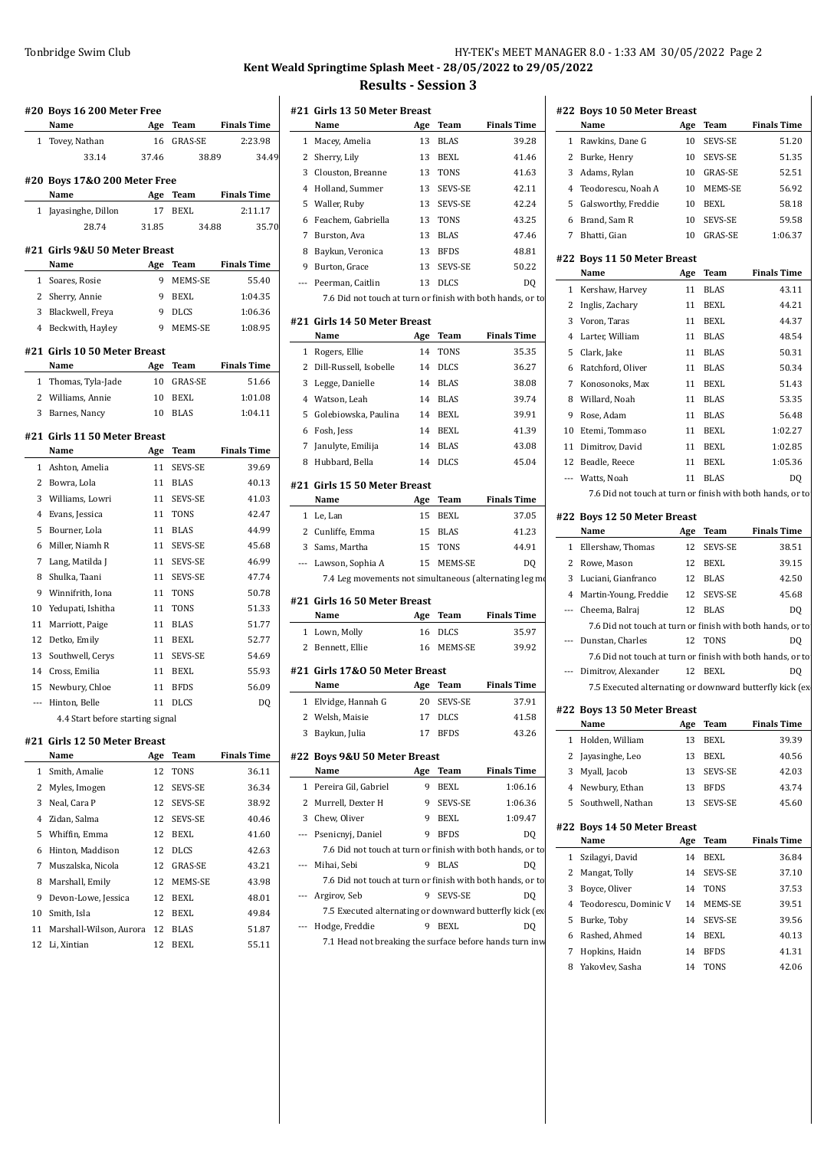### Tonbridge Swim Club **HY-TEK's MEET MANAGER 8.0 - 1:33 AM 30/05/2022** Page 2 **Kent Weald Springtime Splash Meet - 28/05/2022 to 29/05/2022**

 $\mathbf{I}$ 

#### **Results - Session 3**

|              | #20 Boys 16 200 Meter Free       |       |                |                    |
|--------------|----------------------------------|-------|----------------|--------------------|
|              | Name                             | Age   | Team           | <b>Finals Time</b> |
| 1            | Tovey, Nathan                    | 16    | <b>GRAS-SE</b> | 2:23.98            |
|              | 33.14                            | 37.46 | 38.89          | 34.49              |
|              | #20 Boys 17&0 200 Meter Free     |       |                |                    |
|              | Name                             | Age   | Team           | <b>Finals Time</b> |
| 1            | Jayasinghe, Dillon               | 17    | BEXL           | 2:11.17            |
|              | 28.74                            | 31.85 | 34.88          | 35.70              |
|              | #21 Girls 9&U 50 Meter Breast    |       |                |                    |
|              | Name                             | Age   | Team           | <b>Finals Time</b> |
| 1            | Soares, Rosie                    | 9     | MEMS-SE        | 55.40              |
| 2            | Sherry, Annie                    | 9     | <b>BEXL</b>    | 1:04.35            |
| 3            | Blackwell, Freya                 | 9     | <b>DLCS</b>    | 1:06.36            |
| 4            | Beckwith, Hayley                 | 9     | MEMS-SE        | 1:08.95            |
|              | #21 Girls 10 50 Meter Breast     |       |                |                    |
|              | Name                             | Age   | Team           | <b>Finals Time</b> |
| 1            | Thomas, Tyla-Jade                | 10    | <b>GRAS-SE</b> | 51.66              |
| 2            | Williams, Annie                  | 10    | BEXL           | 1:01.08            |
| 3            | Barnes, Nancy                    | 10    | <b>BLAS</b>    | 1:04.11            |
|              | #21 Girls 11 50 Meter Breast     |       |                |                    |
|              | Name                             | Age   | Team           | <b>Finals Time</b> |
| $\mathbf{1}$ | Ashton, Amelia                   | 11    | <b>SEVS-SE</b> | 39.69              |
| 2            | Bowra, Lola                      | 11    | <b>BLAS</b>    | 40.13              |
| 3            | Williams, Lowri                  | 11    | SEVS-SE        | 41.03              |
| 4            | Evans, Jessica                   | 11    | TONS           | 42.47              |
| 5            | Bourner, Lola                    | 11    | <b>BLAS</b>    | 44.99              |
| 6            | Miller, Niamh R                  | 11    | SEVS-SE        | 45.68              |
| 7            | Lang, Matilda J                  | 11    | SEVS-SE        | 46.99              |
| 8            | Shulka, Taani                    | 11    | SEVS-SE        | 47.74              |
| 9            | Winnifrith, Iona                 | 11    | <b>TONS</b>    | 50.78              |
| 10           | Yedupati, Ishitha                | 11    | TONS           | 51.33              |
| 11           | Marriott, Paige                  | 11    | <b>BLAS</b>    | 51.77              |
| 12           | Detko, Emily                     | 11    | <b>BEXL</b>    | 52.77              |
| 13           | Southwell, Cerys                 | 11    | <b>SEVS-SE</b> | 54.69              |
| 14           | Cross, Emilia                    | 11    | <b>BEXL</b>    | 55.93              |
| 15           | Newbury, Chloe                   | 11    | <b>BFDS</b>    | 56.09              |
| ---          | Hinton, Belle                    | 11    | <b>DLCS</b>    | DQ                 |
|              | 4.4 Start before starting signal |       |                |                    |
|              | #21 Girls 12 50 Meter Breast     |       |                |                    |
|              | Name                             | Age   | Team           | <b>Finals Time</b> |
| $\mathbf{1}$ | Smith, Amalie                    | 12    | <b>TONS</b>    | 36.11              |
| 2            | Myles, Imogen                    | 12    | SEVS-SE        | 36.34              |
| 3            | Neal, Cara P                     | 12    | SEVS-SE        | 38.92              |
| 4            | Zidan, Salma                     | 12    | SEVS-SE        | 40.46              |
| 5            | Whiffin, Emma                    | 12    | BEXL           | 41.60              |
| 6            | Hinton, Maddison                 | 12    | <b>DLCS</b>    | 42.63              |
| 7            | Muszalska, Nicola                | 12    | GRAS-SE        | 43.21              |
| 8            | Marshall, Emily                  | 12    | MEMS-SE        | 43.98              |
| 9            | Devon-Lowe, Jessica              | 12    | BEXL           | 48.01              |
| 10           | Smith, Isla                      | 12    | BEXL           | 49.84              |
| 11           | Marshall-Wilson, Aurora          | 12    | BLAS           | 51.87              |
| 12           | Li, Xintian                      | 12    | <b>BEXL</b>    | 55.11              |
|              |                                  |       |                |                    |

|   | #21  Girls 13 50 Meter Breast                              |           |             |                    |   | #22 Boys 10 50 Meter Bre               |
|---|------------------------------------------------------------|-----------|-------------|--------------------|---|----------------------------------------|
|   | Name                                                       | Age       | Team        | <b>Finals Time</b> |   | Name                                   |
|   | 1 Macey, Amelia                                            | 13        | <b>BLAS</b> | 39.28              |   | 1 Rawkins, Dane G                      |
|   | 2 Sherry, Lily                                             | 13        | BEXL        | 41.46              |   | 2 Burke, Henry                         |
|   | 3 Clouston, Breanne                                        | 13        | TONS        | 41.63              |   | 3 Adams, Rylan                         |
|   | 4 Holland, Summer                                          | 13        | SEVS-SE     | 42.11              |   | 4 Teodorescu, Noah A                   |
|   | 5 Waller, Ruby                                             | 13        | SEVS-SE     | 42.24              |   | 5 Galsworthy, Freddie                  |
|   | 6 Feachem, Gabriella                                       | 13        | <b>TONS</b> | 43.25              |   | 6 Brand, Sam R                         |
|   | 7 Burston, Ava                                             | 13        | <b>BLAS</b> | 47.46              |   | 7 Bhatti, Gian                         |
|   | 8 Baykun, Veronica                                         | 13        | <b>BFDS</b> | 48.81              |   |                                        |
|   | 9 Burton, Grace                                            | 13        | SEVS-SE     | 50.22              |   | #22 Boys 11 50 Meter Bre               |
|   | --- Peerman, Caitlin                                       | 13        | DLCS        | DQ                 |   | Name                                   |
|   | 7.6 Did not touch at turn or finish with both hands, or to |           |             |                    |   | 1 Kershaw, Harvey<br>2 Inglis, Zachary |
|   |                                                            |           |             |                    |   |                                        |
|   | #21  Girls 14 50 Meter Breast<br>Name                      |           | Team        | <b>Finals Time</b> |   | 3 Voron, Taras                         |
|   |                                                            | Age<br>14 |             |                    |   | 4 Larter, William                      |
|   | 1 Rogers, Ellie                                            |           | <b>TONS</b> | 35.35              |   | 5 Clark, Jake                          |
|   | 2 Dill-Russell, Isobelle                                   | 14        | <b>DLCS</b> | 36.27              |   | 6 Ratchford, Oliver                    |
|   | 3 Legge, Danielle                                          | 14        | <b>BLAS</b> | 38.08              |   | 7 Konosonoks, Max                      |
|   | 4 Watson, Leah                                             | 14        | <b>BLAS</b> | 39.74              |   | 8 Willard, Noah                        |
|   | 5 Golebiowska, Paulina                                     | 14        | BEXL        | 39.91              |   | 9 Rose, Adam                           |
|   | 6 Fosh, Jess                                               | 14        | BEXL        | 41.39              |   | 10 Etemi, Tommaso                      |
| 7 | Janulyte, Emilija                                          | 14        | BLAS        | 43.08              |   | 11 Dimitrov, David                     |
|   | 8 Hubbard, Bella                                           |           | 14 DLCS     | 45.04              |   | 12 Beadle, Reece                       |
|   | #21  Girls 15 50 Meter Breast                              |           |             |                    |   | --- Watts, Noah                        |
|   | Name                                                       | Age       | Team        | <b>Finals Time</b> |   | 7.6 Did not touch at turi              |
|   | 1 Le, Lan                                                  | 15        | <b>BEXL</b> | 37.05              |   | #22 Boys 12 50 Meter Bre               |
|   | 2 Cunliffe, Emma                                           | 15        | <b>BLAS</b> | 41.23              |   | Name                                   |
|   | 3 Sams, Martha                                             | 15        | TONS        | 44.91              |   | 1 Ellershaw, Thomas                    |
|   | --- Lawson, Sophia A                                       | 15        | MEMS-SE     | DQ                 |   | 2 Rowe, Mason                          |
|   | 7.4 Leg movements not simultaneous (alternating leg mo     |           |             |                    |   | 3 Luciani, Gianfranco                  |
|   |                                                            |           |             |                    |   | 4 Martin-Young, Freddie                |
|   | #21  Girls 16 50 Meter Breast<br>Name                      | Age       | Team        | <b>Finals Time</b> |   | --- Cheema, Balraj                     |
|   | 1 Lown, Molly                                              | 16        | <b>DLCS</b> | 35.97              |   | 7.6 Did not touch at turi              |
|   | 2 Bennett, Ellie                                           | 16        | MEMS-SE     | 39.92              |   | --- Dunstan, Charles                   |
|   |                                                            |           |             |                    |   | 7.6 Did not touch at turi              |
|   | #21  Girls 17&0 50 Meter Breast                            |           |             |                    |   | Dimitrov, Alexander                    |
|   | Name                                                       |           | Age Team    | <b>Finals Time</b> |   | 7.5 Executed alternating               |
|   | 1 Elvidge, Hannah G                                        | 20        | SEVS-SE     | 37.91              |   | #22 Boys 13 50 Meter Bre               |
|   | 2 Welsh, Maisie                                            |           | 17 DLCS     | 41.58              |   | Name<br>ł                              |
|   | Baykun, Julia                                              | 17        | <b>BFDS</b> | 43.26              |   | 1 Holden, William                      |
|   | #22 Boys 9&U 50 Meter Breast                               |           |             |                    |   | 2 Jayasinghe, Leo                      |
|   | Name                                                       | Age       | Team        | <b>Finals Time</b> |   | 3 Myall, Jacob                         |
|   | 1 Pereira Gil, Gabriel                                     | 9         | BEXL        | 1:06.16            |   | 4 Newbury, Ethan                       |
|   | 2 Murrell, Dexter H                                        | 9         | SEVS-SE     | 1:06.36            |   | 5 Southwell, Nathan                    |
|   | 3 Chew, Oliver                                             | 9         | <b>BEXL</b> | 1:09.47            |   |                                        |
|   | --- Psenicnyj, Daniel                                      | 9         | <b>BFDS</b> | DQ                 |   | #22 Boys 14 50 Meter Bre               |
|   | 7.6 Did not touch at turn or finish with both hands, or to |           |             |                    |   | Name                                   |
|   | --- Mihai, Sebi                                            | 9         | <b>BLAS</b> | DQ                 |   | 1 Szilagyi, David                      |
|   | 7.6 Did not touch at turn or finish with both hands, or to |           |             |                    |   | 2 Mangat, Tolly                        |
|   | --- Argirov, Seb                                           |           | 9 SEVS-SE   | DQ                 |   | 3 Boyce, Oliver                        |
|   | 7.5 Executed alternating or downward butterfly kick (ex    |           |             |                    | 4 | Teodorescu, Dominic V                  |
|   | --- Hodge, Freddie                                         |           | 9 BEXL      | DQ                 |   | 5 Burke, Toby                          |
|   | 7.1 Head not breaking the surface before hands turn inw    |           |             |                    |   | 6 Rashed, Ahmed                        |
|   |                                                            |           |             |                    | 7 | Hopkins, Haidn                         |
|   |                                                            |           |             |                    |   | 8 Yakovlev, Sasha                      |

7.6 Did not touch at turn or finish with both hands, or to <br>2 Inglis, Zachary 11 BEXL 44.21 **#22 Boys 10 50 Meter Breast Name Age Team Finals Time** 1 Rawkins, Dane G 10 SEVS-SE 51.20 2 Burke, Henry 10 SEVS-SE 51.35 3 Adams, Rylan 10 GRAS-SE 52.51 4 Teodorescu, Noah A 10 MEMS-SE 56.92 5 Galsworthy, Freddie 10 BEXL 58.18 6 Brand, Sam R 10 SEVS-SE 59.58 7 Bhatti, Gian 10 GRAS-SE 1:06.37 **#22 Boys 11 50 Meter Breast Name Age Team Finals Time** 1 Kershaw, Harvey 11 BLAS 43.11 3 Voron, Taras 11 BEXL 44.37 4 Larter, William 11 BLAS 48.54 5 Clark, Jake 11 BLAS 50.31 6 Ratchford, Oliver 11 BLAS 50.34 7 Konosonoks, Max 11 BEXL 51.43 8 Willard, Noah 11 BLAS 53.35 9 Rose, Adam 11 BLAS 56.48 10 Etemi, Tommaso 11 BEXL 1:02.27 11 Dimitrov, David 11 BEXL 1:02.85 12 Beadle, Reece 11 BEXL 1:05.36 --- Watts, Noah 11 BLAS DQ 7.6 Did not touch at turn or finish with both hands, or to **#22 Boys 12 50 Meter Breast Name Age Team Finals Time** 1 Ellershaw, Thomas 12 SEVS-SE 38.51 2 Rowe, Mason 12 BEXL 39.15 3 Luciani, Gianfranco 12 BLAS 42.50 4 Martin-Young, Freddie 12 SEVS-SE 45.68 --- Cheema, Balraj 12 BLAS DQ 7.6 Did not touch at turn or finish with both hands, or to --- Dunstan, Charles 12 TONS DQ 7.6 Did not touch at turn or finish with both hands, or to --- Dimitrov, Alexander 12 BEXL DQ 7.5 Executed alternating or downward butterfly kick (ex **#22 Boys 13 50 Meter Breast Name Age Team Finals Time** 1 Holden, William 13 BEXL 39.39 2 Jayasinghe, Leo 13 BEXL 40.56 3 Myall, Jacob 13 SEVS-SE 42.03 4 Newbury, Ethan 13 BFDS 43.74 5 Southwell, Nathan 13 SEVS-SE 45.60 **#22 Boys 14 50 Meter Breast Name Age Team Finals Time** 1 Szilagyi, David 14 BEXL 36.84 2 Mangat, Tolly 14 SEVS-SE 37.10 3 Boyce, Oliver 14 TONS 37.53 4 Teodorescu, Dominic V 14 MEMS-SE 39.51

| 6 Rashed. Ahmed   | 14 BEXL | 40.13 |
|-------------------|---------|-------|
| 7 Hopkins, Haidn  | 14 BFDS | 41.31 |
| 8 Yakovlev, Sasha | 14 TONS | 42.06 |

5 Burke, Toby 14 SEVS-SE 39.56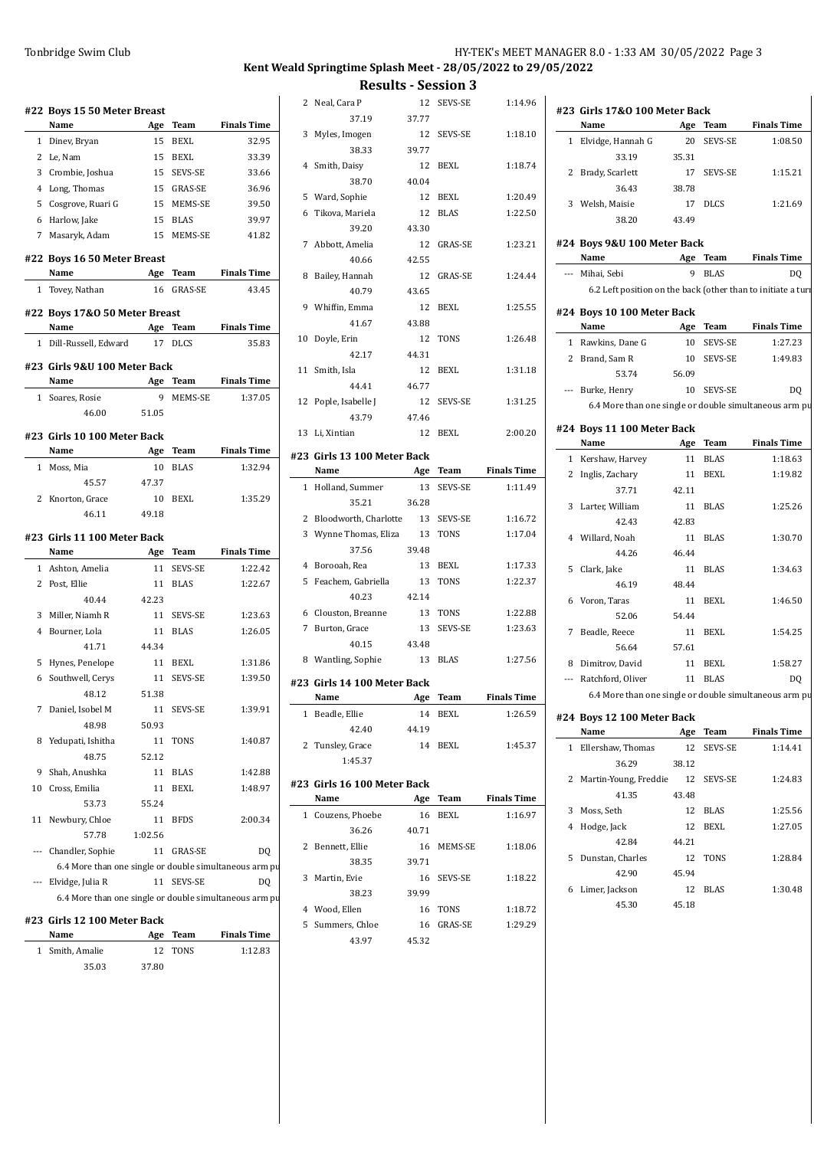# **Kent Weald Springtime Splash Meet - 28/05/2022 to 29/05/2022**

|                          | #22 Boys 15 50 Meter Breast                            |             |                |                    |    | 2 Neal, Cara P          |
|--------------------------|--------------------------------------------------------|-------------|----------------|--------------------|----|-------------------------|
|                          | Name                                                   | Age         | Team           | <b>Finals Time</b> |    | 37.19                   |
|                          | 1 Dinev, Bryan                                         | 15          | BEXL           | 32.95              | 3  | Myles, Imogen           |
|                          | 2 Le, Nam                                              | 15          | <b>BEXL</b>    | 33.39              |    | 38.33                   |
| 3                        | Crombie, Joshua                                        | 15          | SEVS-SE        | 33.66              |    | 4 Smith, Daisy          |
| 4                        | Long, Thomas                                           |             | 15 GRAS-SE     | 36.96              |    | 38.70                   |
| 5                        | Cosgrove, Ruari G                                      | 15          | MEMS-SE        | 39.50              |    | 5 Ward, Sophie          |
|                          | Harlow, Jake                                           | 15          | <b>BLAS</b>    |                    | 6  | Tikova, Mariela         |
| 6<br>7                   |                                                        | 15          |                | 39.97              |    | 39.20                   |
|                          | Masaryk, Adam                                          |             | MEMS-SE        | 41.82              | 7  | Abbott, Amelia          |
|                          | #22 Boys 16 50 Meter Breast                            |             |                |                    |    | 40.66                   |
|                          | Name                                                   | Age         | Team           | <b>Finals Time</b> | 8  | Bailey, Hannah          |
|                          | 1 Tovey, Nathan                                        | 16          | <b>GRAS-SE</b> | 43.45              |    | 40.79                   |
|                          |                                                        |             |                |                    | 9  | Whiffin, Emma           |
|                          | #22 Boys 17&0 50 Meter Breast<br>Name                  |             |                | <b>Finals Time</b> |    | 41.67                   |
|                          |                                                        | Age         | Team           |                    | 10 | Doyle, Erin             |
| 1                        | Dill-Russell, Edward                                   | 17          | <b>DLCS</b>    | 35.83              |    | 42.17                   |
|                          | #23  Girls 9&U 100 Meter Back                          |             |                |                    |    | 11 Smith, Isla          |
|                          | Name                                                   | Age         | Team           | <b>Finals Time</b> |    | 44.41                   |
|                          | 1 Soares, Rosie                                        | 9           | MEMS-SE        | 1:37.05            |    | 12 Pople, Isabelle J    |
|                          | 46.00                                                  | 51.05       |                |                    |    | 43.79                   |
|                          |                                                        |             |                |                    |    | 13 Li, Xintian          |
|                          | #23  Girls 10 100 Meter Back                           |             |                |                    |    |                         |
|                          | Name                                                   | Age         | <b>Team</b>    | <b>Finals Time</b> |    | #23 Girls 13 100 Meter  |
| 1                        | Moss, Mia                                              | 10          | <b>BLAS</b>    | 1:32.94            |    | Name                    |
|                          | 45.57                                                  | 47.37       |                |                    |    | 1 Holland, Summer       |
| 2                        | Knorton, Grace                                         | 10          | <b>BEXL</b>    | 1:35.29            |    | 35.21                   |
|                          | 46.11                                                  | 49.18       |                |                    |    | 2 Bloodworth, Charlotte |
|                          | #23  Girls 11 100 Meter Back                           |             |                |                    |    | 3 Wynne Thomas, Eliza   |
|                          | Name                                                   | Age         | Team           | <b>Finals Time</b> |    | 37.56                   |
|                          | 1 Ashton, Amelia                                       | 11          | SEVS-SE        | 1:22.42            |    | 4 Borooah, Rea          |
|                          |                                                        | 11          | <b>BLAS</b>    | 1:22.67            | 5  | Feachem, Gabriella      |
|                          | 2 Post, Ellie                                          |             |                |                    |    |                         |
|                          | 40.44                                                  | 42.23       |                |                    |    | 40.23                   |
| 3                        |                                                        | 11          | SEVS-SE        | 1:23.63            |    | 6 Clouston, Breanne     |
|                          | Miller, Niamh R<br>4 Bourner, Lola                     | 11          | <b>BLAS</b>    | 1:26.05            | 7  | Burton, Grace           |
|                          | 41.71                                                  | 44.34       |                |                    |    | 40.15                   |
|                          |                                                        |             |                |                    |    | 8 Wantling, Sophie      |
| 5                        | Hynes, Penelope                                        | 11          | <b>BEXL</b>    | 1:31.86            |    |                         |
| 6                        | Southwell, Cerys<br>48.12                              | 11<br>51.38 | SEVS-SE        | 1:39.50            |    | #23 Girls 14 100 Meter  |
|                          |                                                        |             |                |                    |    | Name                    |
| 7                        | Daniel, Isobel M                                       | 11          | SEVS-SE        | 1:39.91            |    | 1 Beadle, Ellie         |
|                          | 48.98                                                  | 50.93       |                |                    |    | 42.40                   |
|                          | 8 Yedupati, Ishitha                                    | 11          | TONS           | 1:40.87            |    | 2 Tunsley, Grace        |
|                          | 48.75                                                  | 52.12       |                |                    |    | 1:45.37                 |
| 9                        | Shah, Anushka                                          | 11          | <b>BLAS</b>    | 1:42.88            |    | #23 Girls 16 100 Meter  |
| 10                       | Cross, Emilia                                          | 11          | <b>BEXL</b>    | 1:48.97            |    | Name                    |
|                          | 53.73                                                  | 55.24       |                |                    |    | 1 Couzens, Phoebe       |
| 11                       | Newbury, Chloe                                         | 11          | <b>BFDS</b>    | 2:00.34            |    | 36.26                   |
|                          | 57.78                                                  | 1:02.56     |                |                    | 2  | Bennett, Ellie          |
|                          | Chandler, Sophie                                       | 11          | GRAS-SE        | DQ                 |    | 38.35                   |
|                          | 6.4 More than one single or double simultaneous arm pu |             |                |                    | 3  | Martin, Evie            |
| $\overline{\phantom{a}}$ | Elvidge, Julia R                                       | 11          | SEVS-SE        | DQ                 |    | 38.23                   |
|                          | 6.4 More than one single or double simultaneous arm pu |             |                |                    |    | 4 Wood, Ellen           |
|                          | #23 Girls 12 100 Meter Back                            |             |                |                    | 5  |                         |
|                          | Name                                                   | Age         | Team           | <b>Finals Time</b> |    | Summers, Chloe<br>43.97 |

35.03 37.80

|                 | <b>Results - Session 3</b>  |       |             |                    |
|-----------------|-----------------------------|-------|-------------|--------------------|
|                 | 2 Neal. Cara P              | 12    | SEVS-SE     | 1:14.96            |
|                 | 37.19                       | 37.77 |             |                    |
| 3               | Myles, Imogen               | 12    | SEVS-SE     | 1:18.10            |
|                 | 38.33                       | 39.77 |             |                    |
| 4               | Smith, Daisy                | 12    | BEXL        | 1:18.74            |
|                 | 38.70                       | 40.04 |             |                    |
|                 | 5 Ward, Sophie              | 12    | BEXL        | 1:20.49            |
| 6               | Tikova, Mariela             | 12    | <b>BLAS</b> | 1:22.50            |
|                 | 39.20                       | 43.30 |             |                    |
| $7\overline{ }$ | Abbott, Amelia              | 12    | GRAS-SE     | 1:23.21            |
|                 | 40.66                       | 42.55 |             |                    |
| 8               | Bailey, Hannah              | 12    | GRAS-SE     | 1:24.44            |
|                 | 40.79                       | 43.65 |             |                    |
| 9               | Whiffin, Emma               | 12    | BEXL        | 1:25.55            |
|                 | 41.67                       | 43.88 |             |                    |
| 10              | Doyle, Erin                 | 12    | <b>TONS</b> | 1:26.48            |
|                 | 42.17                       | 44.31 |             |                    |
| 11              | Smith, Isla                 | 12    | BEXL        | 1:31.18            |
|                 | 44.41                       | 46.77 |             |                    |
| 12              | Pople, Isabelle J           | 12    | SEVS-SE     | 1:31.25            |
|                 | 43.79                       | 47.46 |             |                    |
| 13              | Li, Xintian                 | 12    | <b>BEXL</b> | 2:00.20            |
|                 | #23 Girls 13 100 Meter Back |       |             |                    |
|                 | Name                        | Age   | Team        | <b>Finals Time</b> |
| $\mathbf{1}$    | Holland, Summer             | 13    | SEVS-SE     | 1:11.49            |
|                 | 35.21                       | 36.28 |             |                    |
|                 | 2 Bloodworth, Charlotte     | 13    | SEVS-SE     | 1:16.72            |
| 3               | Wynne Thomas, Eliza         | 13    | TONS        | 1:17.04            |
|                 | 37.56                       | 39.48 |             |                    |
| 4               | Borooah, Rea                | 13    | BEXL        | 1:17.33            |
| 5               | Feachem, Gabriella          | 13    | TONS        | 1:22.37            |
|                 | 40.23                       | 42.14 |             |                    |
| 6               | Clouston, Breanne           | 13    | <b>TONS</b> | 1:22.88            |
| 7               | Burton, Grace               | 13    | SEVS-SE     | 1:23.63            |
|                 | 40.15                       | 43.48 |             |                    |
| 8               | Wantling, Sophie            | 13    | <b>BLAS</b> | 1:27.56            |
|                 | #23 Girls 14 100 Meter Back |       |             |                    |
|                 | Name                        |       | Age Team    | <b>Finals Time</b> |
|                 | 1 Beadle, Ellie             | 14    | BEXL        | 1:26.59            |
|                 | 42.40                       | 44.19 |             |                    |
|                 | 2 Tunsley, Grace            |       | 14 BEXL     | 1:45.37            |
|                 | 1:45.37                     |       |             |                    |
|                 |                             |       |             |                    |
|                 | #23 Girls 16 100 Meter Back |       |             |                    |
|                 | Name                        | Age   | Team        | <b>Finals Time</b> |
| 1               | Couzens, Phoebe             | 16    | BEXL        | 1:16.97            |
| 2               | 36.26                       | 40.71 |             |                    |
|                 | Bennett, Ellie<br>38.35     | 39.71 | 16 MEMS-SE  | 1:18.06            |
|                 |                             |       |             |                    |
|                 | 3 Martin, Evie              |       | 16 SEVS-SE  | 1:18.22            |
|                 | 38.23<br>4 Wood, Ellen      | 39.99 | 16 TONS     | 1:18.72            |
| 5               | Summers, Chloe              |       | 16 GRAS-SE  | 1:29.29            |
|                 | 43.97                       | 45.32 |             |                    |
|                 |                             |       |             |                    |
|                 |                             |       |             |                    |
|                 |                             |       |             |                    |
|                 |                             |       |             |                    |
|                 |                             |       |             |                    |

|   | #23 Girls 17&0 100 Meter Back                                |       |                |                    |
|---|--------------------------------------------------------------|-------|----------------|--------------------|
|   | Name                                                         | Age   | Team           | <b>Finals Time</b> |
|   | 1 Elvidge, Hannah G                                          | 20    | <b>SEVS-SE</b> | 1:08.50            |
|   | 33.19                                                        | 35.31 |                |                    |
| 2 | Brady, Scarlett                                              | 17    | SEVS-SE        | 1:15.21            |
|   | 36.43                                                        | 38.78 |                |                    |
| 3 | Welsh, Maisie                                                | 17    | <b>DLCS</b>    | 1:21.69            |
|   | 38.20                                                        | 43.49 |                |                    |
|   |                                                              |       |                |                    |
|   | #24 Boys 9&U 100 Meter Back                                  |       |                |                    |
|   | Name                                                         | Age   | Team           | <b>Finals Time</b> |
|   | --- Mihai, Sebi                                              | 9     | <b>BLAS</b>    | DQ                 |
|   | 6.2 Left position on the back (other than to initiate a turi |       |                |                    |
|   | #24 Boys 10 100 Meter Back                                   |       |                |                    |
|   | Name                                                         | Age   | Team           | <b>Finals Time</b> |
|   | 1 Rawkins, Dane G                                            | 10    | SEVS-SE        | 1:27.23            |
|   | 2 Brand, Sam R                                               | 10    | SEVS-SE        | 1:49.83            |
|   | 53.74                                                        | 56.09 |                |                    |
|   | --- Burke, Henry                                             | 10    | SEVS-SE        | DQ                 |
|   | 6.4 More than one single or double simultaneous arm pu       |       |                |                    |
|   | #24 Boys 11 100 Meter Back                                   |       |                |                    |
|   | Name                                                         | Age   | Team           | <b>Finals Time</b> |
|   | 1 Kershaw, Harvey                                            | 11    | <b>BLAS</b>    | 1:18.63            |
|   | 2 Inglis, Zachary                                            | 11    | BEXL           | 1:19.82            |
|   | 37.71                                                        | 42.11 |                |                    |
|   | 3 Larter, William                                            | 11    | BLAS           | 1:25.26            |
|   | 42.43                                                        | 42.83 |                |                    |
|   | 4 Willard, Noah                                              | 11    | <b>BLAS</b>    | 1:30.70            |
|   | 44.26                                                        | 46.44 |                |                    |
| 5 | Clark, Jake                                                  | 11    | <b>BLAS</b>    | 1:34.63            |
|   | 46.19                                                        | 48.44 |                |                    |
|   | 6 Voron, Taras                                               | 11    | <b>BEXL</b>    | 1:46.50            |
|   | 52.06                                                        | 54.44 |                |                    |
| 7 | Beadle, Reece                                                | 11    | BEXL           | 1:54.25            |
|   | 56.64                                                        | 57.61 |                |                    |
|   | 8 Dimitrov, David                                            | 11    | <b>BEXL</b>    | 1:58.27            |
|   | --- Ratchford, Oliver                                        | 11    | <b>BLAS</b>    | DQ                 |
|   | 6.4 More than one single or double simultaneous arm pu       |       |                |                    |
|   | #24 Boys 12 100 Meter Back                                   |       |                |                    |
|   | Name                                                         | Age   | Team           | <b>Finals Time</b> |
|   | 1 Ellershaw, Thomas                                          | 12    | SEVS-SE        | 1:14.41            |
|   | 36.29                                                        | 38.12 |                |                    |
|   | 2 Martin-Young, Freddie                                      | 12    | SEVS-SE        | 1:24.83            |
|   | 41.35                                                        | 43.48 |                |                    |
|   | 3 Moss, Seth                                                 | 12    | BLAS           | 1:25.56            |
|   | 4 Hodge, Jack                                                | 12    | BEXL           | 1:27.05            |
|   | 42.84                                                        | 44.21 |                |                    |
|   | 5 Dunstan, Charles                                           | 12    | TONS           | 1:28.84            |
|   | 42.90                                                        | 45.94 |                |                    |
|   | 6 Limer, Jackson                                             | 12    | BLAS           | 1:30.48            |
|   | 45.30                                                        | 45.18 |                |                    |